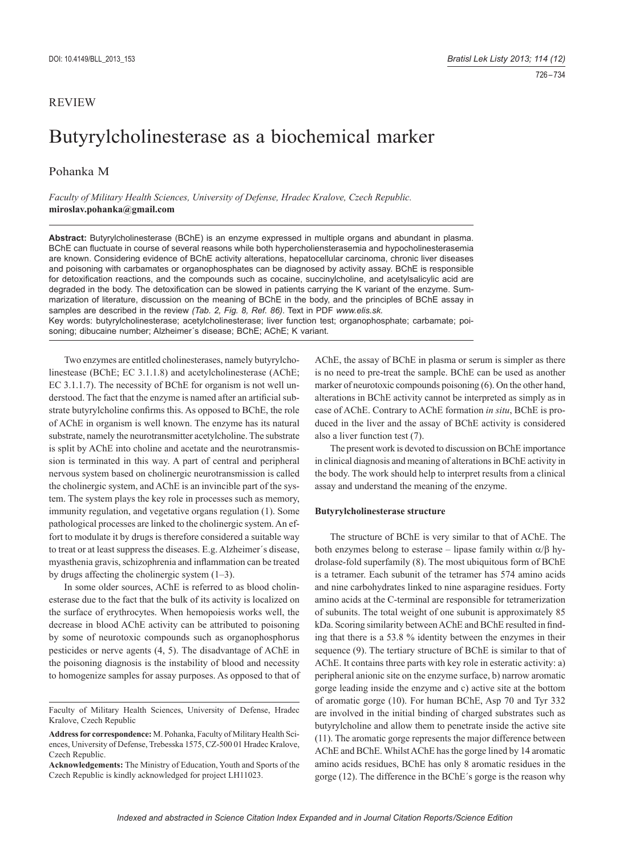# REVIEW

# Butyrylcholinesterase as a biochemical marker

# Pohanka M

*Faculty of Military Health Sciences, University of Defense, Hradec Kralove, Czech Republic.*  **miroslav.pohanka@gmail.com**

**Abstract:** Butyrylcholinesterase (BChE) is an enzyme expressed in multiple organs and abundant in plasma. BChE can fluctuate in course of several reasons while both hypercholiensterasemia and hypocholinesterasemia are known. Considering evidence of BChE activity alterations, hepatocellular carcinoma, chronic liver diseases and poisoning with carbamates or organophosphates can be diagnosed by activity assay. BChE is responsible for detoxification reactions, and the compounds such as cocaine, succinylcholine, and acetylsalicylic acid are degraded in the body. The detoxification can be slowed in patients carrying the K variant of the enzyme. Summarization of literature, discussion on the meaning of BChE in the body, and the principles of BChE assay in samples are described in the review *(Tab. 2, Fig. 8, Ref. 86)*. Text in PDF *www.elis.sk.*

Key words: butyrylcholinesterase; acetylcholinesterase; liver function test; organophosphate; carbamate; poisoning; dibucaine number; Alzheimer´s disease; BChE; AChE; K variant.

Two enzymes are entitled cholinesterases, namely butyrylcholinestease (BChE; EC 3.1.1.8) and acetylcholinesterase (AChE; EC 3.1.1.7). The necessity of BChE for organism is not well understood. The fact that the enzyme is named after an artificial substrate butyrylcholine confirms this. As opposed to BChE, the role of AChE in organism is well known. The enzyme has its natural substrate, namely the neurotransmitter acetylcholine. The substrate is split by AChE into choline and acetate and the neurotransmission is terminated in this way. A part of central and peripheral nervous system based on cholinergic neurotransmission is called the cholinergic system, and AChE is an invincible part of the system. The system plays the key role in processes such as memory, immunity regulation, and vegetative organs regulation (1). Some pathological processes are linked to the cholinergic system. An effort to modulate it by drugs is therefore considered a suitable way to treat or at least suppress the diseases. E.g. Alzheimer´s disease, myasthenia gravis, schizophrenia and inflammation can be treated by drugs affecting the cholinergic system (1–3).

In some older sources, AChE is referred to as blood cholinesterase due to the fact that the bulk of its activity is localized on the surface of erythrocytes. When hemopoiesis works well, the decrease in blood AChE activity can be attributed to poisoning by some of neurotoxic compounds such as organophosphorus pesticides or nerve agents (4, 5). The disadvantage of AChE in the poisoning diagnosis is the instability of blood and necessity to homogenize samples for assay purposes. As opposed to that of AChE, the assay of BChE in plasma or serum is simpler as there is no need to pre-treat the sample. BChE can be used as another marker of neurotoxic compounds poisoning (6). On the other hand, alterations in BChE activity cannot be interpreted as simply as in case of AChE. Contrary to AChE formation *in situ*, BChE is produced in the liver and the assay of BChE activity is considered also a liver function test (7).

The present work is devoted to discussion on BChE importance in clinical diagnosis and meaning of alterations in BChE activity in the body. The work should help to interpret results from a clinical assay and understand the meaning of the enzyme.

#### **Butyrylcholinesterase structure**

The structure of BChE is very similar to that of AChE. The both enzymes belong to esterase – lipase family within  $\alpha/\beta$  hydrolase-fold superfamily (8). The most ubiquitous form of BChE is a tetramer. Each subunit of the tetramer has 574 amino acids and nine carbohydrates linked to nine asparagine residues. Forty amino acids at the C-terminal are responsible for tetramerization of subunits. The total weight of one subunit is approximately 85 kDa. Scoring similarity between AChE and BChE resulted in finding that there is a 53.8 % identity between the enzymes in their sequence (9). The tertiary structure of BChE is similar to that of AChE. It contains three parts with key role in esteratic activity: a) peripheral anionic site on the enzyme surface, b) narrow aromatic gorge leading inside the enzyme and c) active site at the bottom of aromatic gorge (10). For human BChE, Asp 70 and Tyr 332 are involved in the initial binding of charged substrates such as butyrylcholine and allow them to penetrate inside the active site (11). The aromatic gorge represents the major difference between AChE and BChE. Whilst AChE has the gorge lined by 14 aromatic amino acids residues, BChE has only 8 aromatic residues in the gorge (12). The difference in the BChE´s gorge is the reason why

Faculty of Military Health Sciences, University of Defense, Hradec Kralove, Czech Republic

**Address for correspondence:** M. Pohanka, Faculty of Military Health Sciences, University of Defense, Trebesska 1575, CZ-500 01 Hradec Kralove, Czech Republic.

**Acknowledgements:** The Ministry of Education, Youth and Sports of the Czech Republic is kindly acknowledged for project LH11023.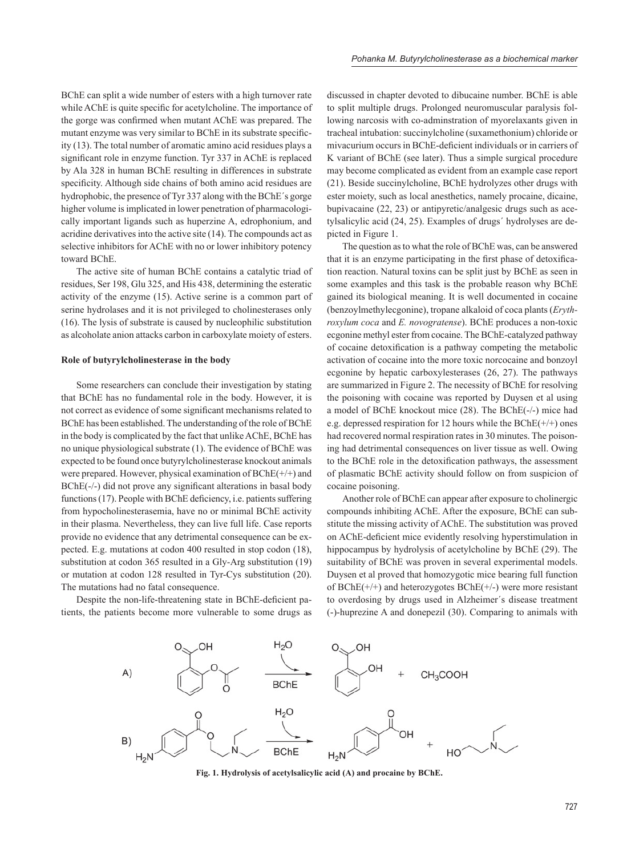BChE can split a wide number of esters with a high turnover rate while AChE is quite specific for acetylcholine. The importance of the gorge was confirmed when mutant AChE was prepared. The mutant enzyme was very similar to BChE in its substrate specificity (13). The total number of aromatic amino acid residues plays a significant role in enzyme function. Tyr 337 in AChE is replaced by Ala 328 in human BChE resulting in differences in substrate specificity. Although side chains of both amino acid residues are hydrophobic, the presence of Tyr 337 along with the BChE´s gorge higher volume is implicated in lower penetration of pharmacologically important ligands such as huperzine A, edrophonium, and acridine derivatives into the active site (14). The compounds act as selective inhibitors for AChE with no or lower inhibitory potency toward BChE.

The active site of human BChE contains a catalytic triad of residues, Ser 198, Glu 325, and His 438, determining the esteratic activity of the enzyme (15). Active serine is a common part of serine hydrolases and it is not privileged to cholinesterases only (16). The lysis of substrate is caused by nucleophilic substitution as alcoholate anion attacks carbon in carboxylate moiety of esters.

#### **Role of butyrylcholinesterase in the body**

Some researchers can conclude their investigation by stating that BChE has no fundamental role in the body. However, it is not correct as evidence of some significant mechanisms related to BChE has been established. The understanding of the role of BChE in the body is complicated by the fact that unlike AChE, BChE has no unique physiological substrate (1). The evidence of BChE was expected to be found once butyrylcholinesterase knockout animals were prepared. However, physical examination of BChE(+/+) and BChE(-/-) did not prove any significant alterations in basal body functions (17). People with BChE deficiency, i.e. patients suffering from hypocholinesterasemia, have no or minimal BChE activity in their plasma. Nevertheless, they can live full life. Case reports provide no evidence that any detrimental consequence can be expected. E.g. mutations at codon 400 resulted in stop codon (18), substitution at codon 365 resulted in a Gly-Arg substitution (19) or mutation at codon 128 resulted in Tyr-Cys substitution (20). The mutations had no fatal consequence.

Despite the non-life-threatening state in BChE-deficient patients, the patients become more vulnerable to some drugs as

discussed in chapter devoted to dibucaine number. BChE is able to split multiple drugs. Prolonged neuromuscular paralysis following narcosis with co-adminstration of myorelaxants given in tracheal intubation: succinylcholine (suxamethonium) chloride or mivacurium occurs in BChE-deficient individuals or in carriers of K variant of BChE (see later). Thus a simple surgical procedure may become complicated as evident from an example case report (21). Beside succinylcholine, BChE hydrolyzes other drugs with ester moiety, such as local anesthetics, namely procaine, dicaine, bupivacaine (22, 23) or antipyretic/analgesic drugs such as acetylsalicylic acid (24, 25). Examples of drugs´ hydrolyses are depicted in Figure 1.

The question as to what the role of BChE was, can be answered that it is an enzyme participating in the first phase of detoxification reaction. Natural toxins can be split just by BChE as seen in some examples and this task is the probable reason why BChE gained its biological meaning. It is well documented in cocaine (benzoylmethylecgonine), tropane alkaloid of coca plants (*Erythroxylum coca* and *E. novogratense*). BChE produces a non-toxic ecgonine methyl ester from cocaine. The BChE-catalyzed pathway of cocaine detoxification is a pathway competing the metabolic activation of cocaine into the more toxic norcocaine and bonzoyl ecgonine by hepatic carboxylesterases (26, 27). The pathways are summarized in Figure 2. The necessity of BChE for resolving the poisoning with cocaine was reported by Duysen et al using a model of BChE knockout mice (28). The BChE(-/-) mice had e.g. depressed respiration for 12 hours while the  $BChE(+/+)$  ones had recovered normal respiration rates in 30 minutes. The poisoning had detrimental consequences on liver tissue as well. Owing to the BChE role in the detoxification pathways, the assessment of plasmatic BChE activity should follow on from suspicion of cocaine poisoning.

Another role of BChE can appear after exposure to cholinergic compounds inhibiting AChE. After the exposure, BChE can substitute the missing activity of AChE. The substitution was proved on AChE-deficient mice evidently resolving hyperstimulation in hippocampus by hydrolysis of acetylcholine by BChE (29). The suitability of BChE was proven in several experimental models. Duysen et al proved that homozygotic mice bearing full function of BChE(+/+) and heterozygotes BChE(+/-) were more resistant to overdosing by drugs used in Alzheimer´s disease treatment (-)-huprezine A and donepezil (30). Comparing to animals with



**Fig. 1. Hydrolysis of acetylsalicylic acid (A) and procaine by BChE.**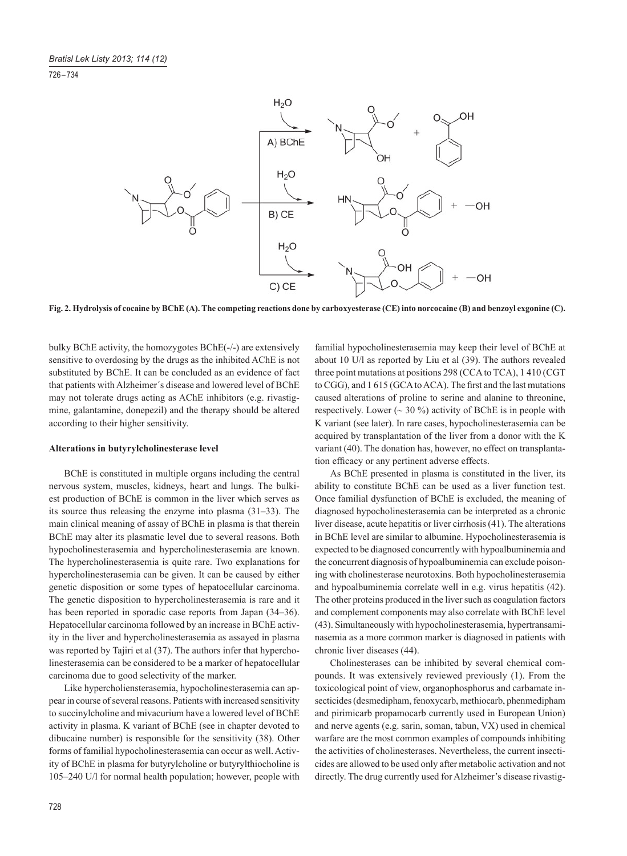

**Fig. 2. Hydrolysis of cocaine by BChE (A). The competing reactions done by carboxyesterase (CE) into norcocaine (B) and benzoyl exgonine (C).**

bulky BChE activity, the homozygotes BChE(-/-) are extensively sensitive to overdosing by the drugs as the inhibited AChE is not substituted by BChE. It can be concluded as an evidence of fact that patients with Alzheimer´s disease and lowered level of BChE may not tolerate drugs acting as AChE inhibitors (e.g. rivastigmine, galantamine, donepezil) and the therapy should be altered according to their higher sensitivity.

## **Alterations in butyrylcholinesterase level**

BChE is constituted in multiple organs including the central nervous system, muscles, kidneys, heart and lungs. The bulkiest production of BChE is common in the liver which serves as its source thus releasing the enzyme into plasma (31–33). The main clinical meaning of assay of BChE in plasma is that therein BChE may alter its plasmatic level due to several reasons. Both hypocholinesterasemia and hypercholinesterasemia are known. The hypercholinesterasemia is quite rare. Two explanations for hypercholinesterasemia can be given. It can be caused by either genetic disposition or some types of hepatocellular carcinoma. The genetic disposition to hypercholinesterasemia is rare and it has been reported in sporadic case reports from Japan  $(34–36)$ . Hepatocellular carcinoma followed by an increase in BChE activity in the liver and hypercholinesterasemia as assayed in plasma was reported by Tajiri et al (37). The authors infer that hypercholinesterasemia can be considered to be a marker of hepatocellular carcinoma due to good selectivity of the marker.

Like hypercholiensterasemia, hypocholinesterasemia can appear in course of several reasons. Patients with increased sensitivity to succinylcholine and mivacurium have a lowered level of BChE activity in plasma. K variant of BChE (see in chapter devoted to dibucaine number) is responsible for the sensitivity (38). Other forms of familial hypocholinesterasemia can occur as well. Activity of BChE in plasma for butyrylcholine or butyrylthiocholine is 105–240 U/l for normal health population; however, people with

familial hypocholinesterasemia may keep their level of BChE at about 10 U/l as reported by Liu et al (39). The authors revealed three point mutations at positions 298 (CCA to TCA), 1 410 (CGT to CGG), and  $1\,615$  (GCA to ACA). The first and the last mutations caused alterations of proline to serine and alanine to threonine, respectively. Lower ( $\sim$  30 %) activity of BChE is in people with K variant (see later). In rare cases, hypocholinesterasemia can be acquired by transplantation of the liver from a donor with the K variant (40). The donation has, however, no effect on transplantation efficacy or any pertinent adverse effects.

As BChE presented in plasma is constituted in the liver, its ability to constitute BChE can be used as a liver function test. Once familial dysfunction of BChE is excluded, the meaning of diagnosed hypocholinesterasemia can be interpreted as a chronic liver disease, acute hepatitis or liver cirrhosis (41). The alterations in BChE level are similar to albumine. Hypocholinesterasemia is expected to be diagnosed concurrently with hypoalbuminemia and the concurrent diagnosis of hypoalbuminemia can exclude poisoning with cholinesterase neurotoxins. Both hypocholinesterasemia and hypoalbuminemia correlate well in e.g. virus hepatitis (42). The other proteins produced in the liver such as coagulation factors and complement components may also correlate with BChE level (43). Simultaneously with hypocholinesterasemia, hypertransaminasemia as a more common marker is diagnosed in patients with chronic liver diseases (44).

Cholinesterases can be inhibited by several chemical compounds. It was extensively reviewed previously (1). From the toxicological point of view, organophosphorus and carbamate insecticides (desmedipham, fenoxycarb, methiocarb, phenmedipham and pirimicarb propamocarb currently used in European Union) and nerve agents (e.g. sarin, soman, tabun, VX) used in chemical warfare are the most common examples of compounds inhibiting the activities of cholinesterases. Nevertheless, the current insecticides are allowed to be used only after metabolic activation and not directly. The drug currently used for Alzheimer's disease rivastig-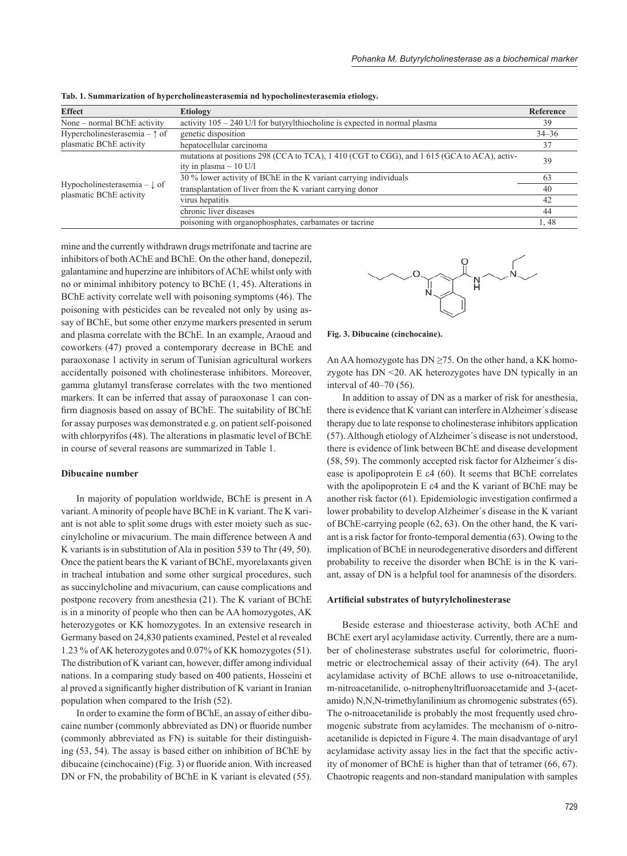| <b>Effect</b>                                                      | <b>Etiology</b>                                                                             |      |  |
|--------------------------------------------------------------------|---------------------------------------------------------------------------------------------|------|--|
| None – normal BChE activity                                        | activity $105 - 240$ U/l for butyrylthiocholine is expected in normal plasma                |      |  |
| Hypercholinesterasemia $ \uparrow$ of                              | genetic disposition                                                                         |      |  |
| plasmatic BChE activity                                            | hepatocellular carcinoma                                                                    | 37   |  |
| Hypocholinesterasemia – $\downarrow$ of<br>plasmatic BChE activity | mutations at positions 298 (CCA to TCA), 1 410 (CGT to CGG), and 1 615 (GCA to ACA), activ- | 39   |  |
|                                                                    | ity in plasma $\sim 10$ U/l                                                                 |      |  |
|                                                                    | 30 % lower activity of BChE in the K variant carrying individuals                           | 63   |  |
|                                                                    | transplantation of liver from the K variant carrying donor                                  | 40   |  |
|                                                                    | virus hepatitis                                                                             | 42   |  |
|                                                                    | chronic liver diseases                                                                      | 44   |  |
|                                                                    | poisoning with organophosphates, carbamates or tacrine                                      | 1,48 |  |

**Tab. 1. Summarization of hypercholineasterasemia nd hypocholinesterasemia etiology.**

mine and the currently withdrawn drugs metrifonate and tacrine are inhibitors of both AChE and BChE. On the other hand, donepezil, galantamine and huperzine are inhibitors of AChE whilst only with no or minimal inhibitory potency to BChE (1, 45). Alterations in BChE activity correlate well with poisoning symptoms (46). The poisoning with pesticides can be revealed not only by using assay of BChE, but some other enzyme markers presented in serum and plasma correlate with the BChE. In an example, Araoud and coworkers (47) proved a contemporary decrease in BChE and paraoxonase 1 activity in serum of Tunisian agricultural workers accidentally poisoned with cholinesterase inhibitors. Moreover, gamma glutamyl transferase correlates with the two mentioned markers. It can be inferred that assay of paraoxonase 1 can confirm diagnosis based on assay of BChE. The suitability of BChE for assay purposes was demonstrated e.g. on patient self-poisoned with chlorpyrifos (48). The alterations in plasmatic level of BChE in course of several reasons are summarized in Table 1.

## **Dibucaine number**

In majority of population worldwide, BChE is present in A variant. A minority of people have BChE in K variant. The K variant is not able to split some drugs with ester moiety such as succinylcholine or mivacurium. The main difference between A and K variants is in substitution of Ala in position 539 to Thr (49, 50). Once the patient bears the K variant of BChE, myorelaxants given in tracheal intubation and some other surgical procedures, such as succinylcholine and mivacurium, can cause complications and postpone recovery from anesthesia (21). The K variant of BChE is in a minority of people who then can be AA homozygotes, AK heterozygotes or KK homozygotes. In an extensive research in Germany based on 24,830 patients examined, Pestel et al revealed 1.23 % of AK heterozygotes and 0.07% of KK homozygotes (51). The distribution of K variant can, however, differ among individual nations. In a comparing study based on 400 patients, Hosseini et al proved a significantly higher distribution of K variant in Iranian population when compared to the Irish (52).

In order to examine the form of BChE, an assay of either dibucaine number (commonly abbreviated as DN) or fluoride number (commonly abbreviated as FN) is suitable for their distinguishing (53, 54). The assay is based either on inhibition of BChE by dibucaine (cinchocaine) (Fig. 3) or fluoride anion. With increased DN or FN, the probability of BChE in K variant is elevated (55).



#### **Fig. 3. Dibucaine (cinchocaine).**

An AA homozygote has  $DN \ge 75$ . On the other hand, a KK homozygote has DN <20. AK heterozygotes have DN typically in an interval of 40–70 (56).

In addition to assay of DN as a marker of risk for anesthesia, there is evidence that K variant can interfere in Alzheimer´s disease therapy due to late response to cholinesterase inhibitors application (57). Although etiology of Alzheimer´s disease is not understood, there is evidence of link between BChE and disease development (58, 59). The commonly accepted risk factor for Alzheimer´s disease is apolipoprotein E  $\varepsilon$ 4 (60). It seems that BChE correlates with the apolipoprotein  $E \in \mathcal{A}$  and the K variant of BChE may be another risk factor  $(61)$ . Epidemiologic investigation confirmed a lower probability to develop Alzheimer´s disease in the K variant of BChE-carrying people (62, 63). On the other hand, the K variant is a risk factor for fronto-temporal dementia (63). Owing to the implication of BChE in neurodegenerative disorders and different probability to receive the disorder when BChE is in the K variant, assay of DN is a helpful tool for anamnesis of the disorders.

## Artificial substrates of butyrylcholinesterase

Beside esterase and thioesterase activity, both AChE and BChE exert aryl acylamidase activity. Currently, there are a number of cholinesterase substrates useful for colorimetric, fluorimetric or electrochemical assay of their activity (64). The aryl acylamidase activity of BChE allows to use o-nitroacetanilide, m-nitroacetanilide, o-nitrophenyltrifluoroacetamide and 3-(acetamido) N,N,N-trimethylanilinium as chromogenic substrates (65). The o-nitroacetanilide is probably the most frequently used chromogenic substrate from acylamides. The mechanism of o-nitroacetanilide is depicted in Figure 4. The main disadvantage of aryl acylamidase activity assay lies in the fact that the specific activity of monomer of BChE is higher than that of tetramer (66, 67). Chaotropic reagents and non-standard manipulation with samples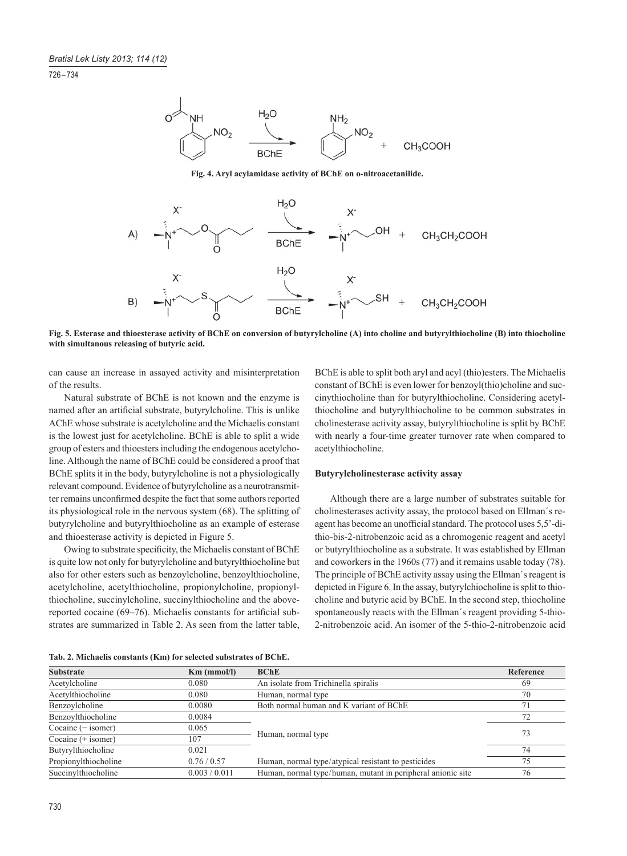

**Fig. 4. Aryl acylamidase activity of BChE on o-nitroacetanilide.**



**Fig. 5. Esterase and thioesterase activity of BChE on conversion of butyrylcholine (A) into choline and butyrylthiocholine (B) into thiocholine with simultanous releasing of butyric acid.**

can cause an increase in assayed activity and misinterpretation of the results.

Natural substrate of BChE is not known and the enzyme is named after an artificial substrate, butyrylcholine. This is unlike AChE whose substrate is acetylcholine and the Michaelis constant is the lowest just for acetylcholine. BChE is able to split a wide group of esters and thioesters including the endogenous acetylcholine. Although the name of BChE could be considered a proof that BChE splits it in the body, butyrylcholine is not a physiologically relevant compound. Evidence of butyrylcholine as a neurotransmitter remains unconfirmed despite the fact that some authors reported its physiological role in the nervous system (68). The splitting of butyrylcholine and butyrylthiocholine as an example of esterase and thioesterase activity is depicted in Figure 5.

Owing to substrate specificity, the Michaelis constant of BChE is quite low not only for butyrylcholine and butyrylthiocholine but also for other esters such as benzoylcholine, benzoylthiocholine, acetylcholine, acetylthiocholine, propionylcholine, propionylthiocholine, succinylcholine, succinylthiocholine and the abovereported cocaine (69–76). Michaelis constants for artificial substrates are summarized in Table 2. As seen from the latter table, BChE is able to split both aryl and acyl (thio)esters. The Michaelis constant of BChE is even lower for benzoyl(thio)choline and succinythiocholine than for butyrylthiocholine. Considering acetylthiocholine and butyrylthiocholine to be common substrates in cholinesterase activity assay, butyrylthiocholine is split by BChE with nearly a four-time greater turnover rate when compared to acetylthiocholine.

## **Butyrylcholinesterase activity assay**

Although there are a large number of substrates suitable for cholinesterases activity assay, the protocol based on Ellman´s reagent has become an unofficial standard. The protocol uses 5,5'-dithio-bis-2-nitrobenzoic acid as a chromogenic reagent and acetyl or butyrylthiocholine as a substrate. It was established by Ellman and coworkers in the 1960s (77) and it remains usable today (78). The principle of BChE activity assay using the Ellman´s reagent is depicted in Figure 6. In the assay, butyrylchiocholine is split to thiocholine and butyric acid by BChE. In the second step, thiocholine spontaneously reacts with the Ellman´s reagent providing 5-thio-2-nitrobenzoic acid. An isomer of the 5-thio-2-nitrobenzoic acid

**Tab. 2. Michaelis constants (Km) for selected substrates of BChE.**

| Substrate             | $Km$ (mmol/l) | <b>BChE</b>                                                 | Reference |
|-----------------------|---------------|-------------------------------------------------------------|-----------|
| Acetylcholine         | 0.080         | An isolate from Trichinella spiralis                        | 69        |
| Acetylthiocholine     | 0.080         | Human, normal type                                          | 70        |
| Benzoylcholine        | 0.0080        | Both normal human and K variant of BChE                     |           |
| Benzoylthiocholine    | 0.0084        | Human, normal type                                          | 72        |
| Cocaine $(-$ isomer)  | 0.065         |                                                             | 73        |
| Cocaine $(+)$ isomer) | 107           |                                                             |           |
| Butyrylthiocholine    | 0.021         |                                                             | 74        |
| Propionylthiocholine  | 0.76/0.57     | Human, normal type/atypical resistant to pesticides         | 75        |
| Succinylthiocholine   | 0.003 / 0.011 | Human, normal type/human, mutant in peripheral anionic site | 76        |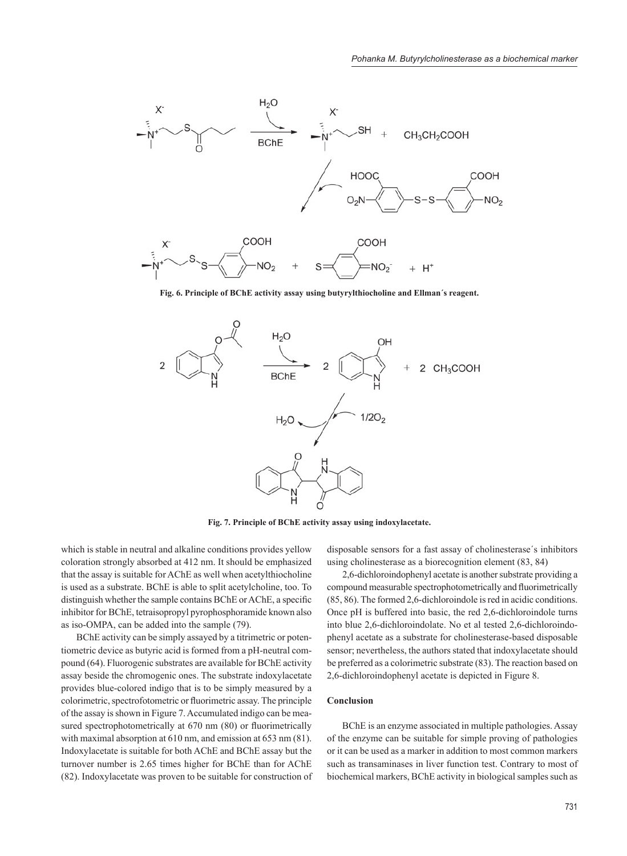



**Fig. 7. Principle of BChE activity assay using indoxylacetate.**

which is stable in neutral and alkaline conditions provides yellow coloration strongly absorbed at 412 nm. It should be emphasized that the assay is suitable for AChE as well when acetylthiocholine is used as a substrate. BChE is able to split acetylcholine, too. To distinguish whether the sample contains BChE or AChE, a specific inhibitor for BChE, tetraisopropyl pyrophosphoramide known also as iso-OMPA, can be added into the sample (79).

BChE activity can be simply assayed by a titrimetric or potentiometric device as butyric acid is formed from a pH-neutral compound (64). Fluorogenic substrates are available for BChE activity assay beside the chromogenic ones. The substrate indoxylacetate provides blue-colored indigo that is to be simply measured by a colorimetric, spectrofotometric or fluorimetric assay. The principle of the assay is shown in Figure 7. Accumulated indigo can be measured spectrophotometrically at  $670 \text{ nm}$   $(80)$  or fluorimetrically with maximal absorption at 610 nm, and emission at 653 nm (81). Indoxylacetate is suitable for both AChE and BChE assay but the turnover number is 2.65 times higher for BChE than for AChE (82). Indoxylacetate was proven to be suitable for construction of disposable sensors for a fast assay of cholinesterase´s inhibitors using cholinesterase as a biorecognition element (83, 84)

2,6-dichloroindophenyl acetate is another substrate providing a compound measurable spectrophotometrically and fluorimetrically (85, 86). The formed 2,6-dichloroindole is red in acidic conditions. Once pH is buffered into basic, the red 2,6-dichloroindole turns into blue 2,6-dichloroindolate. No et al tested 2,6-dichloroindophenyl acetate as a substrate for cholinesterase-based disposable sensor; nevertheless, the authors stated that indoxylacetate should be preferred as a colorimetric substrate (83). The reaction based on 2,6-dichloroindophenyl acetate is depicted in Figure 8.

### **Conclusion**

BChE is an enzyme associated in multiple pathologies. Assay of the enzyme can be suitable for simple proving of pathologies or it can be used as a marker in addition to most common markers such as transaminases in liver function test. Contrary to most of biochemical markers, BChE activity in biological samples such as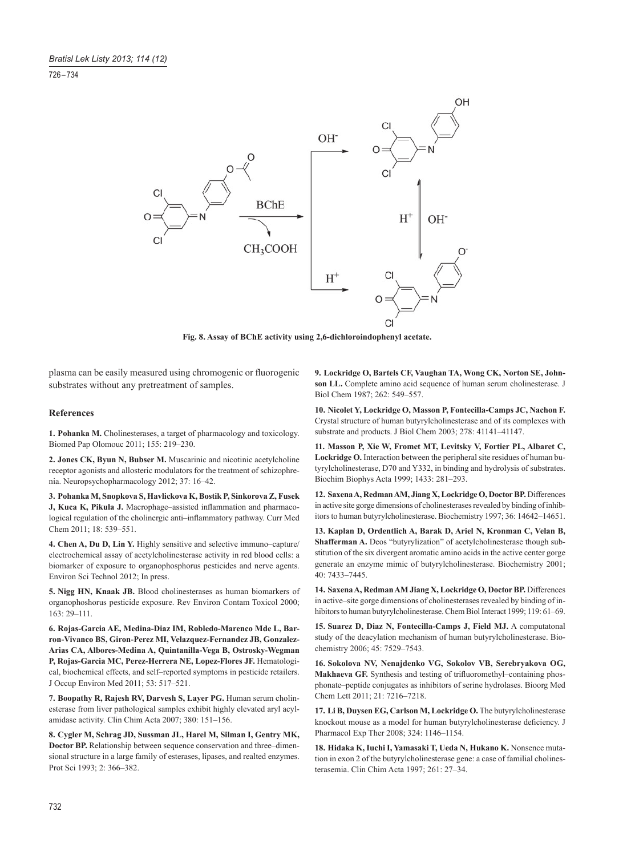

**Fig. 8. Assay of BChE activity using 2,6-dichloroindophenyl acetate.**

plasma can be easily measured using chromogenic or fluorogenic substrates without any pretreatment of samples.

### **References**

**1. Pohanka M.** Cholinesterases, a target of pharmacology and toxicology. Biomed Pap Olomouc 2011; 155: 219–230.

**2. Jones CK, Byun N, Bubser M.** Muscarinic and nicotinic acetylcholine receptor agonists and allosteric modulators for the treatment of schizophrenia. Neuropsychopharmacology 2012; 37: 16–42.

**3. Pohanka M, Snopkova S, Havlickova K, Bostik P, Sinkorova Z, Fusek J, Kuca K, Pikula J.** Macrophage–assisted inflammation and pharmacological regulation of the cholinergic anti-inflammatory pathway. Curr Med Chem 2011; 18: 539–551.

**4. Chen A, Du D, Lin Y.** Highly sensitive and selective immuno–capture/ electrochemical assay of acetylcholinesterase activity in red blood cells: a biomarker of exposure to organophosphorus pesticides and nerve agents. Environ Sci Technol 2012; In press.

**5. Nigg HN, Knaak JB.** Blood cholinesterases as human biomarkers of organophoshorus pesticide exposure. Rev Environ Contam Toxicol 2000; 163: 29–111.

**6. Rojas-Garcia AE, Medina-Diaz IM, Robledo-Marenco Mde L, Barron-Vivanco BS, Giron-Perez MI, Velazquez-Fernandez JB, Gonzalez-Arias CA, Albores-Medina A, Quintanilla-Vega B, Ostrosky-Wegman P, Rojas-Garcia MC, Perez-Herrera NE, Lopez-Flores JF.** Hematological, biochemical effects, and self–reported symptoms in pesticide retailers. J Occup Environ Med 2011; 53: 517–521.

**7. Boopathy R, Rajesh RV, Darvesh S, Layer PG.** Human serum cholinesterase from liver pathological samples exhibit highly elevated aryl acylamidase activity. Clin Chim Acta 2007; 380: 151–156.

**8. Cygler M, Schrag JD, Sussman JL, Harel M, Silman I, Gentry MK, Doctor BP.** Relationship between sequence conservation and three–dimensional structure in a large family of esterases, lipases, and realted enzymes. Prot Sci 1993; 2: 366–382.

**9. Lockridge O, Bartels CF, Vaughan TA, Wong CK, Norton SE, Johnson LL.** Complete amino acid sequence of human serum cholinesterase. J Biol Chem 1987; 262: 549–557.

**10. Nicolet Y, Lockridge O, Masson P, Fontecilla-Camps JC, Nachon F.** Crystal structure of human butyrylcholinesterase and of its complexes with substrate and products. J Biol Chem 2003; 278: 41141–41147.

**11. Masson P, Xie W, Fromet MT, Levitsky V, Fortier PL, Albaret C, Lockridge O.** Interaction between the peripheral site residues of human butyrylcholinesterase, D70 and Y332, in binding and hydrolysis of substrates. Biochim Biophys Acta 1999; 1433: 281–293.

**12. Saxena A, Redman AM, Jiang X, Lockridge O, Doctor BP.** Differences in active site gorge dimensions of cholinesterases revealed by binding of inhibitors to human butyrylcholinesterase. Biochemistry 1997; 36: 14642–14651.

**13. Kaplan D, Ordentlich A, Barak D, Ariel N, Kronman C, Velan B, Shafferman A.** Deos "butyrylization" of acetylcholinesterase though substitution of the six divergent aromatic amino acids in the active center gorge generate an enzyme mimic of butyrylcholinesterase. Biochemistry 2001; 40: 7433–7445.

**14. Saxena A, Redman AM Jiang X, Lockridge O, Doctor BP.** Differences in active–site gorge dimensions of cholinesterases revealed by binding of inhibitors to human butyrylcholinesterase. Chem Biol Interact 1999; 119: 61-69.

**15. Suarez D, Diaz N, Fontecilla-Camps J, Field MJ.** A computatonal study of the deacylation mechanism of human butyrylcholinesterase. Biochemistry 2006; 45: 7529–7543.

**16. Sokolova NV, Nenajdenko VG, Sokolov VB, Serebryakova OG,**  Makhaeva GF. Synthesis and testing of trifluoromethyl-containing phosphonate–peptide conjugates as inhibitors of serine hydrolases. Bioorg Med Chem Lett 2011; 21: 7216–7218.

**17. Li B, Duysen EG, Carlson M, Lockridge O.** The butyrylcholinesterase knockout mouse as a model for human butyrylcholinesterase deficiency. J Pharmacol Exp Ther 2008; 324: 1146–1154.

**18. Hidaka K, Iuchi I, Yamasaki T, Ueda N, Hukano K.** Nonsence mutation in exon 2 of the butyrylcholinesterase gene: a case of familial cholinesterasemia. Clin Chim Acta 1997; 261: 27–34.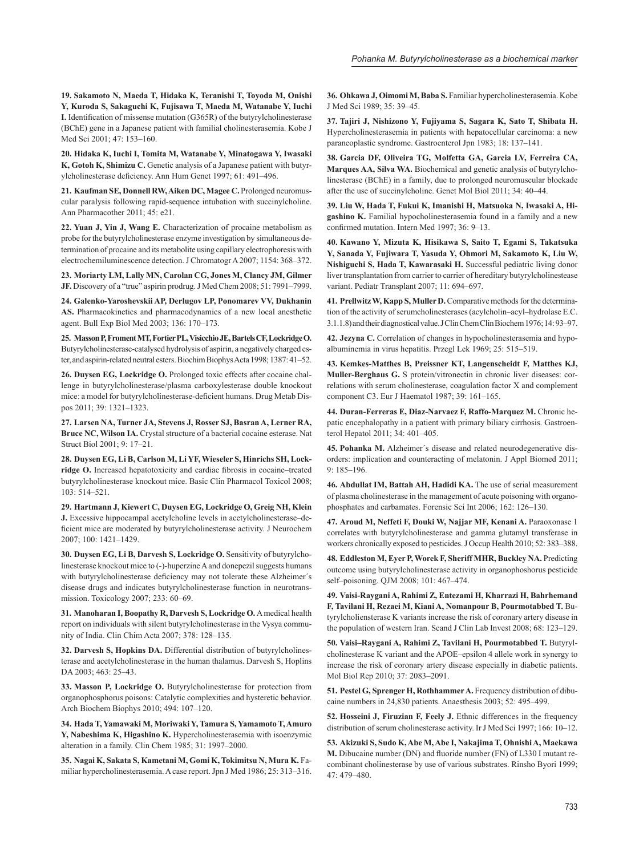**19. Sakamoto N, Maeda T, Hidaka K, Teranishi T, Toyoda M, Onishi Y, Kuroda S, Sakaguchi K, Fujisawa T, Maeda M, Watanabe Y, Iuchi I.** Identification of missense mutation (G365R) of the butyrylcholinesterase (BChE) gene in a Japanese patient with familial cholinesterasemia. Kobe J Med Sci 2001; 47: 153–160.

**20. Hidaka K, Iuchi I, Tomita M, Watanabe Y, Minatogawa Y, Iwasaki K, Gotoh K, Shimizu C.** Genetic analysis of a Japanese patient with butyrylcholinesterase deficiency. Ann Hum Genet 1997; 61: 491-496.

**21. Kaufman SE, Donnell RW, Aiken DC, Magee C.** Prolonged neuromuscular paralysis following rapid-sequence intubation with succinylcholine. Ann Pharmacother 2011; 45: e21.

**22. Yuan J, Yin J, Wang E.** Characterization of procaine metabolism as probe for the butyrylcholinesterase enzyme investigation by simultaneous determination of procaine and its metabolite using capillary electrophoresis with electrochemiluminescence detection. J Chromatogr A 2007; 1154: 368–372.

**23. Moriarty LM, Lally MN, Carolan CG, Jones M, Clancy JM, Gilmer JF.** Discovery of a "true" aspirin prodrug. J Med Chem 2008; 51: 7991–7999.

**24. Galenko-Yaroshevskii AP, Derlugov LP, Ponomarev VV, Dukhanin AS.** Pharmacokinetics and pharmacodynamics of a new local anesthetic agent. Bull Exp Biol Med 2003; 136: 170–173.

**25. Masson P, Froment MT, Fortier PL, Visicchio JE, Bartels CF, Lockridge O.** Butyrylcholinesterase-catalysed hydrolysis of aspirin, a negatively charged ester, and aspirin-related neutral esters. Biochim Biophys Acta 1998; 1387: 41–52.

**26. Duysen EG, Lockridge O.** Prolonged toxic effects after cocaine challenge in butyrylcholinesterase/plasma carboxylesterase double knockout mice: a model for butyrylcholinesterase-deficient humans. Drug Metab Dispos 2011; 39: 1321–1323.

**27. Larsen NA, Turner JA, Stevens J, Rosser SJ, Basran A, Lerner RA, Bruce NC, Wilson IA.** Crystal structure of a bacterial cocaine esterase. Nat Struct Biol 2001; 9: 17–21.

**28. Duysen EG, Li B, Carlson M, Li YF, Wieseler S, Hinrichs SH, Lock**ridge O. Increased hepatotoxicity and cardiac fibrosis in cocaine–treated butyrylcholinesterase knockout mice. Basic Clin Pharmacol Toxicol 2008; 103: 514–521.

**29. Hartmann J, Kiewert C, Duysen EG, Lockridge O, Greig NH, Klein J.** Excessive hippocampal acetylcholine levels in acetylcholinesterase–deficient mice are moderated by butyrylcholinesterase activity. J Neurochem 2007; 100: 1421–1429.

**30. Duysen EG, Li B, Darvesh S, Lockridge O.** Sensitivity of butyrylcholinesterase knockout mice to (-)-huperzine A and donepezil suggests humans with butyrylcholinesterase deficiency may not tolerate these Alzheimer's disease drugs and indicates butyrylcholinesterase function in neurotransmission. Toxicology 2007; 233: 60–69.

31. Manoharan I, Boopathy R, Darvesh S, Lockridge O. A medical health report on individuals with silent butyrylcholinesterase in the Vysya community of India. Clin Chim Acta 2007; 378: 128–135.

**32. Darvesh S, Hopkins DA.** Differential distribution of butyrylcholinesterase and acetylcholinesterase in the human thalamus. Darvesh S, Hoplins DA 2003; 463; 25-43.

**33. Masson P, Lockridge O.** Butyrylcholinesterase for protection from organophosphorus poisons: Catalytic complexities and hysteretic behavior. Arch Biochem Biophys 2010; 494: 107–120.

**34. Hada T, Yamawaki M, Moriwaki Y, Tamura S, Yamamoto T, Amuro Y, Nabeshima K, Higashino K.** Hypercholinesterasemia with isoenzymic alteration in a family. Clin Chem 1985; 31: 1997–2000.

**35. Nagai K, Sakata S, Kametani M, Gomi K, Tokimitsu N, Mura K.** Familiar hypercholinesterasemia. A case report. Jpn J Med 1986; 25: 313–316. **36. Ohkawa J, Oimomi M, Baba S.** Familiar hypercholinesterasemia. Kobe J Med Sci 1989; 35: 39–45.

**37. Tajiri J, Nishizono Y, Fujiyama S, Sagara K, Sato T, Shibata H.** Hypercholinesterasemia in patients with hepatocellular carcinoma: a new paraneoplastic syndrome. Gastroenterol Jpn 1983; 18: 137–141.

**38. Garcia DF, Oliveira TG, Molfetta GA, Garcia LV, Ferreira CA, Marques AA, Silva WA.** Biochemical and genetic analysis of butyrylcholinesterase (BChE) in a family, due to prolonged neuromuscular blockade after the use of succinylcholine. Genet Mol Biol 2011; 34: 40–44.

**39. Liu W, Hada T, Fukui K, Imanishi H, Matsuoka N, Iwasaki A, Higashino K.** Familial hypocholinesterasemia found in a family and a new confirmed mutation. Intern Med 1997; 36: 9-13.

**40. Kawano Y, Mizuta K, Hisikawa S, Saito T, Egami S, Takatsuka Y, Sanada Y, Fujiwara T, Yasuda Y, Ohmori M, Sakamoto K, Liu W, Nishiguchi S, Hada T, Kawarasaki H.** Successful pediatric living donor liver transplantation from carrier to carrier of hereditary butyrylcholinestease variant. Pediatr Transplant 2007; 11: 694–697.

**41. Prellwitz W, Kapp S, Muller D.** Comparative methods for the determination of the activity of serumcholinesterases (acylcholin–acyl–hydrolase E.C. 3.1.1.8) and their diagnostical value. J Clin Chem Clin Biochem 1976; 14: 93–97.

**42. Jezyna C.** Correlation of changes in hypocholinesterasemia and hypoalbuminemia in virus hepatitis. Przegl Lek 1969; 25: 515–519.

**43. Kemkes-Matthes B, Preissner KT, Langenscheidt F, Matthes KJ, Muller-Berghaus G.** S protein/vitronectin in chronic liver diseases: correlations with serum cholinesterase, coagulation factor X and complement component C3. Eur J Haematol 1987; 39: 161–165.

**44. Duran-Ferreras E, Diaz-Narvaez F, Raffo-Marquez M.** Chronic hepatic encephalopathy in a patient with primary biliary cirrhosis. Gastroenterol Hepatol 2011; 34: 401–405.

**45. Pohanka M.** Alzheimer´s disease and related neurodegenerative disorders: implication and counteracting of melatonin. J Appl Biomed 2011; 9: 185–196.

**46. Abdullat IM, Battah AH, Hadidi KA.** The use of serial measurement of plasma cholinesterase in the management of acute poisoning with organophosphates and carbamates. Forensic Sci Int 2006; 162: 126–130.

47. Aroud M, Neffeti F, Douki W, Najjar MF, Kenani A. Paraoxonase 1 correlates with butyrylcholinesterase and gamma glutamyl transferase in workers chronically exposed to pesticides. J Occup Health 2010; 52: 383–388.

**48. Eddleston M, Eyer P, Worek F, Sheriff MHR, Buckley NA.** Predicting outcome using butyrylcholinesterase activity in organophoshorus pesticide self–poisoning. QJM 2008; 101: 467–474.

**49. Vaisi-Raygani A, Rahimi Z, Entezami H, Kharrazi H, Bahrhemand F, Tavilani H, Rezaei M, Kiani A, Nomanpour B, Pourmotabbed T.** Butyrylcholiensterase K variants increase the risk of coronary artery disease in the population of western Iran. Scand J Clin Lab Invest 2008; 68: 123–129.

**50. Vaisi–Raygani A, Rahimi Z, Tavilani H, Pourmotabbed T.** Butyrylcholinesterase K variant and the APOE–epsilon 4 allele work in synergy to increase the risk of coronary artery disease especially in diabetic patients. Mol Biol Rep 2010; 37: 2083–2091.

**51. Pestel G, Sprenger H, Rothhammer A.** Frequency distribution of dibucaine numbers in 24,830 patients. Anaesthesis 2003; 52: 495–499.

**52. Hosseini J, Firuzian F, Feely J.** Ethnic differences in the frequency distribution of serum cholinesterase activity. Ir J Med Sci 1997; 166: 10–12.

**53. Akizuki S, Sudo K, Abe M, Abe I, Nakajima T, Ohnishi A, Maekawa M.** Dibucaine number (DN) and fluoride number (FN) of L330 I mutant recombinant cholinesterase by use of various substrates. Rinsho Byori 1999; 47: 479–480.